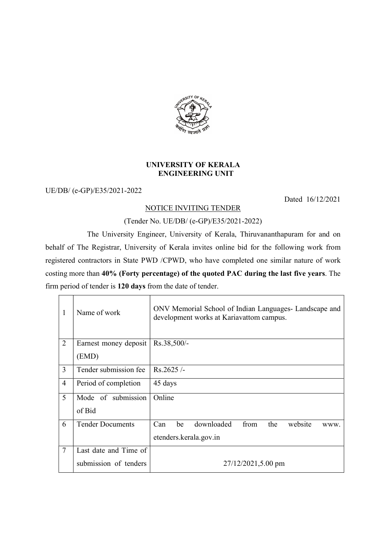

## UNIVERSITY OF KERALA ENGINEERING UNIT

UE/DB/ (e-GP)/E35/2021-2022

Dated 16/12/2021

## NOTICE INVITING TENDER

## (Tender No. UE/DB/ (e-GP)/E35/2021-2022)

 The University Engineer, University of Kerala, Thiruvananthapuram for and on behalf of The Registrar, University of Kerala invites online bid for the following work from registered contractors in State PWD /CPWD, who have completed one similar nature of work costing more than 40% (Forty percentage) of the quoted PAC during the last five years. The firm period of tender is 120 days from the date of tender.

| $\mathbf{1}$   | Name of work            | ONV Memorial School of Indian Languages- Landscape and<br>development works at Kariavattom campus. |
|----------------|-------------------------|----------------------------------------------------------------------------------------------------|
| 2              | Earnest money deposit   | $Rs.38,500/-$                                                                                      |
|                | (EMD)                   |                                                                                                    |
| $\overline{3}$ | Tender submission fee   | $Rs.2625/-$                                                                                        |
| $\overline{4}$ | Period of completion    | 45 days                                                                                            |
| 5              | Mode of submission      | Online                                                                                             |
|                | of Bid                  |                                                                                                    |
| 6              | <b>Tender Documents</b> | downloaded<br>from the<br>be<br>website<br>Can<br>WWW.                                             |
|                |                         | etenders.kerala.gov.in                                                                             |
| 7              | Last date and Time of   |                                                                                                    |
|                | submission of tenders   | 27/12/2021,5.00 pm                                                                                 |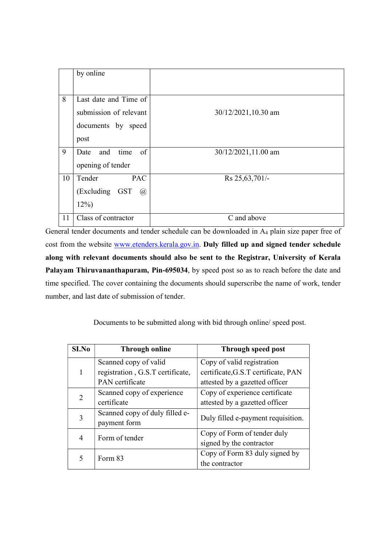|    | by online                   |                     |
|----|-----------------------------|---------------------|
|    |                             |                     |
|    |                             |                     |
| 8  | Last date and Time of       |                     |
|    | submission of relevant      | 30/12/2021,10.30 am |
|    | documents by speed          |                     |
|    | post                        |                     |
| 9  | Date and time of            | 30/12/2021,11.00 am |
|    | opening of tender           |                     |
| 10 | <b>PAC</b><br>Tender        | Rs 25, 63, 701/-    |
|    | (Excluding GST)<br>$\omega$ |                     |
|    | $12\%)$                     |                     |
| 11 | Class of contractor         | C and above         |

General tender documents and tender schedule can be downloaded in A4 plain size paper free of cost from the website www.etenders.kerala.gov.in. Duly filled up and signed tender schedule along with relevant documents should also be sent to the Registrar, University of Kerala Palayam Thiruvananthapuram, Pin-695034, by speed post so as to reach before the date and time specified. The cover containing the documents should superscribe the name of work, tender number, and last date of submission of tender.

Documents to be submitted along with bid through online/ speed post.

| S <sub>I.No</sub> | <b>Through online</b>            | Through speed post                  |  |
|-------------------|----------------------------------|-------------------------------------|--|
|                   | Scanned copy of valid            | Copy of valid registration          |  |
| 1                 | registration, G.S.T certificate, | certificate, G.S.T certificate, PAN |  |
|                   | PAN certificate                  | attested by a gazetted officer      |  |
| 2                 | Scanned copy of experience       | Copy of experience certificate      |  |
|                   | certificate                      | attested by a gazetted officer      |  |
| 3                 | Scanned copy of duly filled e-   | Duly filled e-payment requisition.  |  |
|                   | payment form                     |                                     |  |
| 4                 | Form of tender                   | Copy of Form of tender duly         |  |
|                   |                                  | signed by the contractor            |  |
| 5                 | Form 83                          | Copy of Form 83 duly signed by      |  |
|                   |                                  | the contractor                      |  |